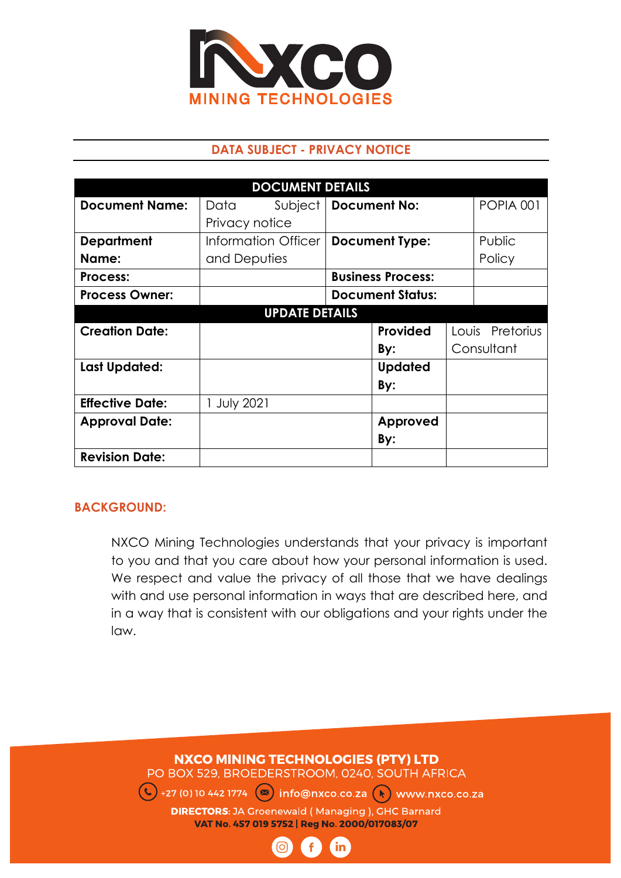

### **DATA SUBJECT - PRIVACY NOTICE**

| <b>DOCUMENT DETAILS</b> |                |                     |  |                          |  |                  |
|-------------------------|----------------|---------------------|--|--------------------------|--|------------------|
| <b>Document Name:</b>   | Data           | Subject             |  | <b>Document No:</b>      |  | <b>POPIA 001</b> |
|                         | Privacy notice |                     |  |                          |  |                  |
| <b>Department</b>       |                | Information Officer |  | <b>Document Type:</b>    |  | Public           |
| Name:                   | and Deputies   |                     |  |                          |  | Policy           |
| Process:                |                |                     |  | <b>Business Process:</b> |  |                  |
| <b>Process Owner:</b>   |                |                     |  | <b>Document Status:</b>  |  |                  |
| <b>UPDATE DETAILS</b>   |                |                     |  |                          |  |                  |
|                         |                |                     |  |                          |  |                  |
| <b>Creation Date:</b>   |                |                     |  | Provided                 |  | Louis Pretorius  |
|                         |                |                     |  | By:                      |  | Consultant       |
| <b>Last Updated:</b>    |                |                     |  | <b>Updated</b>           |  |                  |
|                         |                |                     |  | By:                      |  |                  |
| <b>Effective Date:</b>  | 1 July 2021    |                     |  |                          |  |                  |
| <b>Approval Date:</b>   |                |                     |  | Approved                 |  |                  |
|                         |                |                     |  | By:                      |  |                  |

#### **BACKGROUND:**

NXCO Mining Technologies understands that your privacy is important to you and that you care about how your personal information is used. We respect and value the privacy of all those that we have dealings with and use personal information in ways that are described here, and in a way that is consistent with our obligations and your rights under the law.

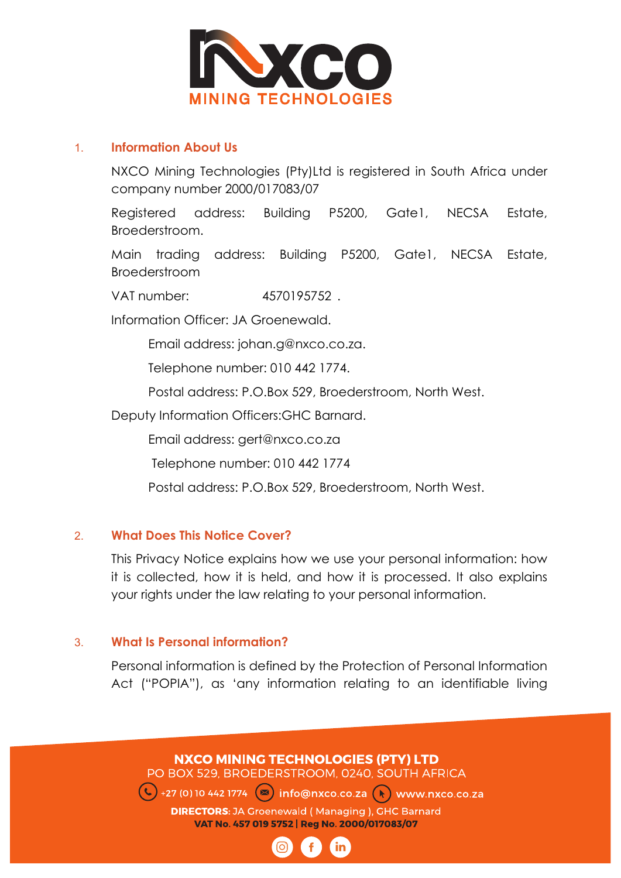

#### 1. **Information About Us**

NXCO Mining Technologies (Pty)Ltd is registered in South Africa under company number 2000/017083/07

Registered address: Building P5200, Gate1, NECSA Estate, Broederstroom.

Main trading address: Building P5200, Gate1, NECSA Estate, Broederstroom

VAT number: 4570195752 .

Information Officer: JA Groenewald.

Email address: johan.g@nxco.co.za.

Telephone number: 010 442 1774.

Postal address: P.O.Box 529, Broederstroom, North West.

Deputy Information Officers:GHC Barnard.

Email address: gert@nxco.co.za

Telephone number: 010 442 1774

Postal address: P.O.Box 529, Broederstroom, North West.

#### 2. **What Does This Notice Cover?**

This Privacy Notice explains how we use your personal information: how it is collected, how it is held, and how it is processed. It also explains your rights under the law relating to your personal information.

#### 3. **What Is Personal information?**

Personal information is defined by the Protection of Personal Information Act ("POPIA"), as 'any information relating to an identifiable living

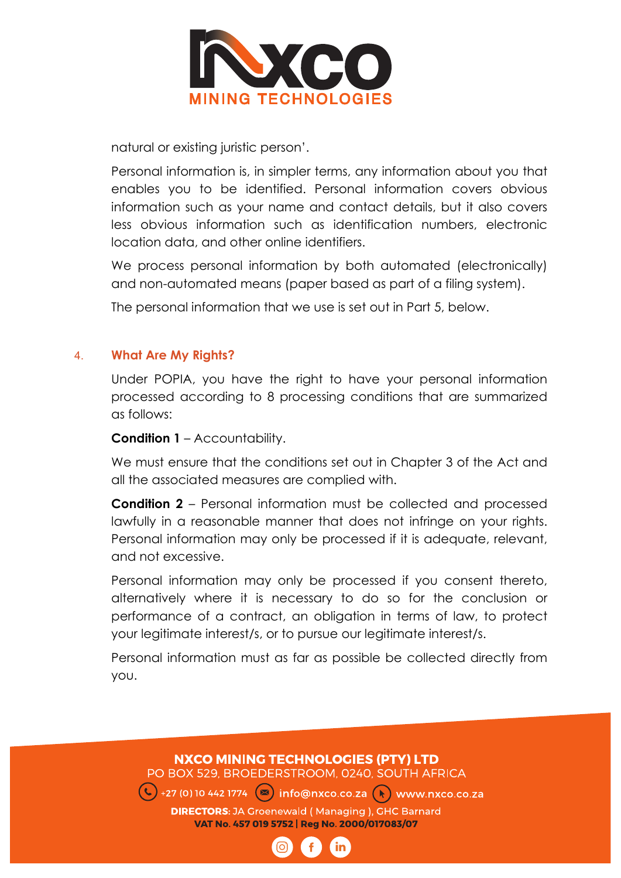

natural or existing juristic person'.

Personal information is, in simpler terms, any information about you that enables you to be identified. Personal information covers obvious information such as your name and contact details, but it also covers less obvious information such as identification numbers, electronic location data, and other online identifiers.

We process personal information by both automated (electronically) and non-automated means (paper based as part of a filing system).

The personal information that we use is set out in Part 5, below.

#### 4. **What Are My Rights?**

Under POPIA, you have the right to have your personal information processed according to 8 processing conditions that are summarized as follows:

**Condition 1** – Accountability.

We must ensure that the conditions set out in Chapter 3 of the Act and all the associated measures are complied with.

**Condition 2** – Personal information must be collected and processed lawfully in a reasonable manner that does not infringe on your rights. Personal information may only be processed if it is adequate, relevant, and not excessive.

Personal information may only be processed if you consent thereto, alternatively where it is necessary to do so for the conclusion or performance of a contract, an obligation in terms of law, to protect your legitimate interest/s, or to pursue our legitimate interest/s.

Personal information must as far as possible be collected directly from you.

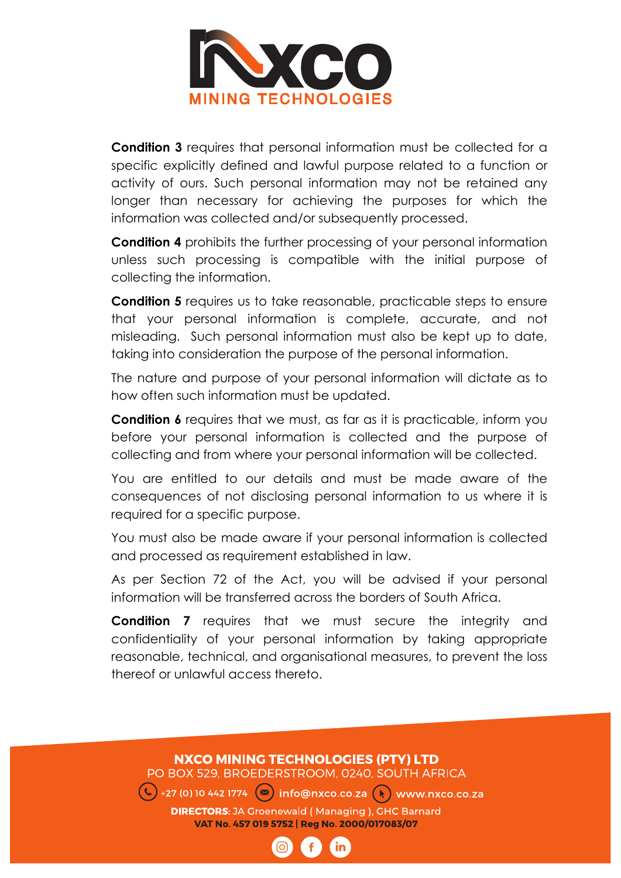

**Condition 3** requires that personal information must be collected for a specific explicitly defined and lawful purpose related to a function or activity of ours. Such personal information may not be retained any longer than necessary for achieving the purposes for which the information was collected and/or subsequently processed.

**Condition 4** prohibits the further processing of your personal information unless such processing is compatible with the initial purpose of collecting the information.

**Condition 5** requires us to take reasonable, practicable steps to ensure that your personal information is complete, accurate, and not misleading. Such personal information must also be kept up to date, taking into consideration the purpose of the personal information.

The nature and purpose of your personal information will dictate as to how often such information must be updated.

**Condition 6** requires that we must, as far as it is practicable, inform you before your personal information is collected and the purpose of collecting and from where your personal information will be collected.

You are entitled to our details and must be made aware of the consequences of not disclosing personal information to us where it is required for a specific purpose.

You must also be made aware if your personal information is collected and processed as requirement established in law.

As per Section 72 of the Act, you will be advised if your personal information will be transferred across the borders of South Africa.

**Condition 7** requires that we must secure the integrity and confidentiality of your personal information by taking appropriate reasonable, technical, and organisational measures, to prevent the loss thereof or unlawful access thereto.

# **NXCO MINING TECHNOLOGIES (PTY) LTD** PO BOX 529, BROEDERSTROOM, 0240, SOUTH AFRICA  $\left( \bigcup_{i=1}^{\infty}$  +27 (0) 10 442 1774  $\left( \infty\right)$  info@nxco.co.za  $\left( \setminus\right)$  www.nxco.co.za **DIRECTORS:** JA Groenewald (Managing), GHC Barnard VAT No. 457 019 5752 | Reg No. 2000/017083/07 in.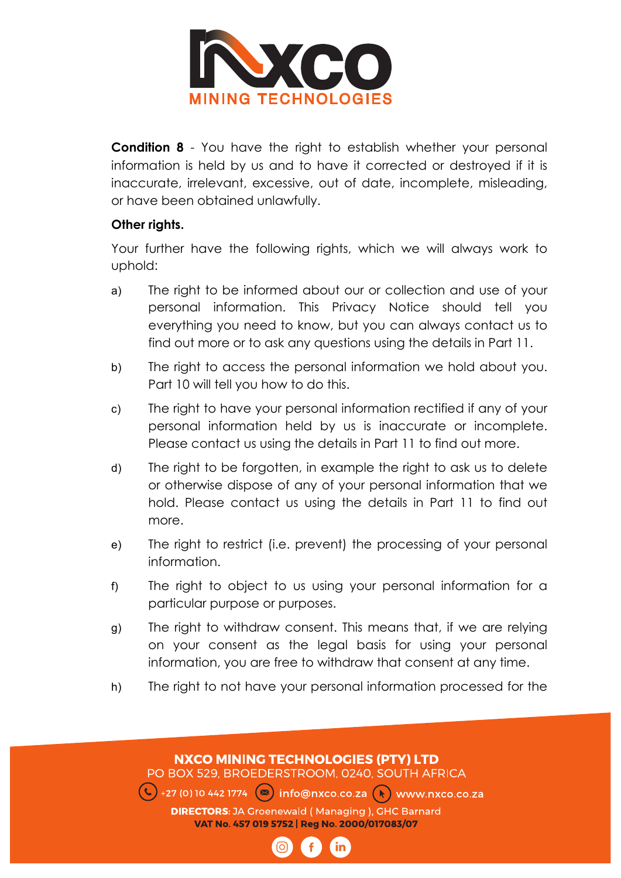

**Condition 8** - You have the right to establish whether your personal information is held by us and to have it corrected or destroyed if it is inaccurate, irrelevant, excessive, out of date, incomplete, misleading, or have been obtained unlawfully.

#### **Other rights.**

Your further have the following rights, which we will always work to uphold:

- a) The right to be informed about our or collection and use of your personal information. This Privacy Notice should tell you everything you need to know, but you can always contact us to find out more or to ask any questions using the details in Part 11.
- b) The right to access the personal information we hold about you. Part 10 will tell you how to do this.
- c) The right to have your personal information rectified if any of your personal information held by us is inaccurate or incomplete. Please contact us using the details in Part 11 to find out more.
- d) The right to be forgotten, in example the right to ask us to delete or otherwise dispose of any of your personal information that we hold. Please contact us using the details in Part 11 to find out more.
- e) The right to restrict (i.e. prevent) the processing of your personal information.
- f) The right to object to us using your personal information for a particular purpose or purposes.
- g) The right to withdraw consent. This means that, if we are relying on your consent as the legal basis for using your personal information, you are free to withdraw that consent at any time.
- h) The right to not have your personal information processed for the

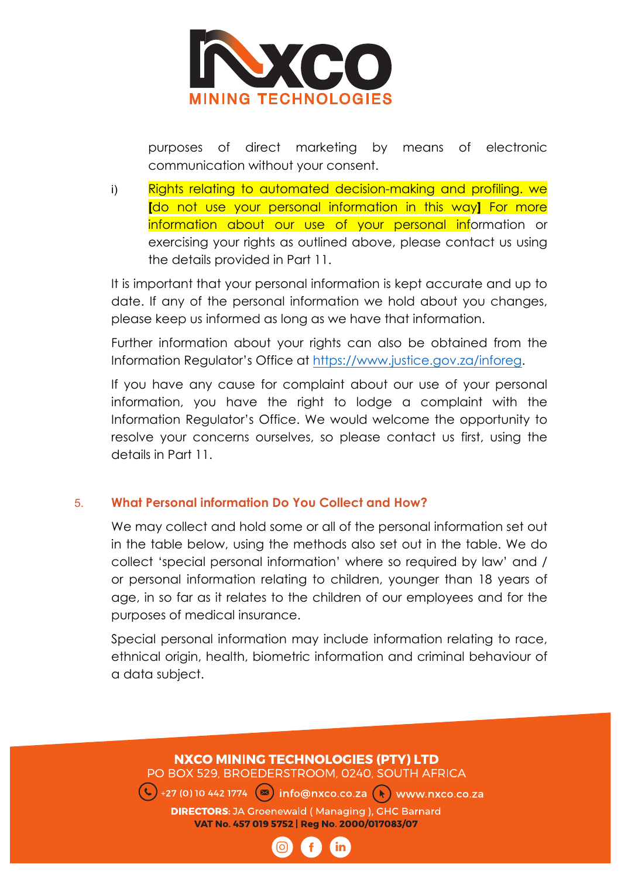

purposes of direct marketing by means of electronic communication without your consent.

i) Rights relating to automated decision-making and profiling. we **[**do not use your personal information in this way**]** For more information about our use of your personal information or exercising your rights as outlined above, please contact us using the details provided in Part 11.

It is important that your personal information is kept accurate and up to date. If any of the personal information we hold about you changes, please keep us informed as long as we have that information.

Further information about your rights can also be obtained from the Information Regulator's Office at https://www.justice.gov.za/inforeg.

If you have any cause for complaint about our use of your personal information, you have the right to lodge a complaint with the Information Regulator's Office. We would welcome the opportunity to resolve your concerns ourselves, so please contact us first, using the details in Part 11.

## 5. **What Personal information Do You Collect and How?**

We may collect and hold some or all of the personal information set out in the table below, using the methods also set out in the table. We do collect 'special personal information' where so required by law' and / or personal information relating to children, younger than 18 years of age, in so far as it relates to the children of our employees and for the purposes of medical insurance.

Special personal information may include information relating to race, ethnical origin, health, biometric information and criminal behaviour of a data subject.

# **NXCO MINING TECHNOLOGIES (PTY) LTD** PO BOX 529, BROEDERSTROOM, 0240, SOUTH AFRICA  $\left(\frac{1}{2}\right)$ +27 (0) 10 442 1774 ( $\infty$ ) info@nxco.co.za ( $\left(\frac{1}{2}\right)$  www.nxco.co.za **DIRECTORS:** JA Groenewald (Managing), GHC Barnard VAT No. 457 019 5752 | Reg No. 2000/017083/07 in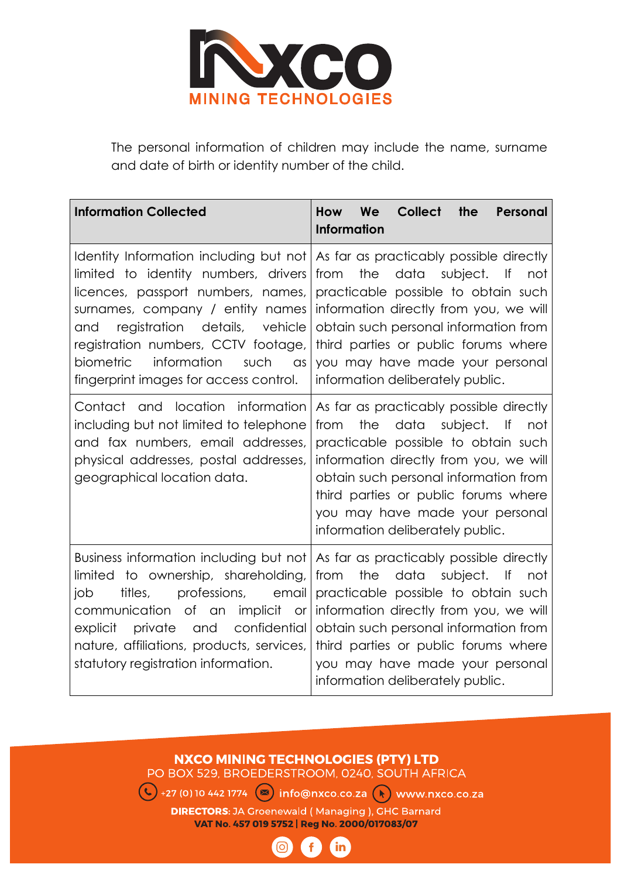

The personal information of children may include the name, surname and date of birth or identity number of the child.

| <b>Information Collected</b>                                                                                                                                                                                                                                                                               | We<br><b>Collect</b><br><b>How</b><br>the<br>Personal<br><b>Information</b>                                                                                                                                                                                                                                                                                       |
|------------------------------------------------------------------------------------------------------------------------------------------------------------------------------------------------------------------------------------------------------------------------------------------------------------|-------------------------------------------------------------------------------------------------------------------------------------------------------------------------------------------------------------------------------------------------------------------------------------------------------------------------------------------------------------------|
| limited to identity numbers, drivers<br>licences, passport numbers, names,<br>surnames, company / entity names<br>registration details, vehicle<br>and<br>registration numbers, CCTV footage,<br>biometric<br>information<br>such<br>$\alpha$ s<br>fingerprint images for access control.                  | Identity Information including but not As far as practicably possible directly<br>the<br>data subject. If<br>from<br>not<br>practicable possible to obtain such<br>information directly from you, we will<br>obtain such personal information from<br>third parties or public forums where<br>you may have made your personal<br>information deliberately public. |
| Contact and location information<br>including but not limited to telephone<br>and fax numbers, email addresses,<br>physical addresses, postal addresses,<br>geographical location data.                                                                                                                    | As far as practicably possible directly<br>the<br>data<br>subject. If<br>from<br>not<br>practicable possible to obtain such<br>information directly from you, we will<br>obtain such personal information from<br>third parties or public forums where<br>you may have made your personal<br>information deliberately public.                                     |
| Business information including but not<br>to ownership, shareholding,<br>limited<br>titles,<br>professions,<br>job<br>email<br>communication of an implicit<br><b>or</b><br>confidential<br>explicit<br>private<br>and<br>nature, affiliations, products, services,<br>statutory registration information. | As far as practicably possible directly<br>the<br>data<br>from<br>subject. If<br>not<br>practicable possible to obtain such<br>information directly from you, we will<br>obtain such personal information from<br>third parties or public forums where<br>you may have made your personal<br>information deliberately public.                                     |

## **NXCO MINING TECHNOLOGIES (PTY) LTD**

PO BOX 529, BROEDERSTROOM, 0240, SOUTH AFRICA

 $\left($  +27 (0) 10 442 1774  $\right)$  info@nxco.co.za  $\left($  manufactural www.nxco.co.za

**DIRECTORS:** JA Groenewald (Managing), GHC Barnard VAT No. 457 019 5752 | Reg No. 2000/017083/07

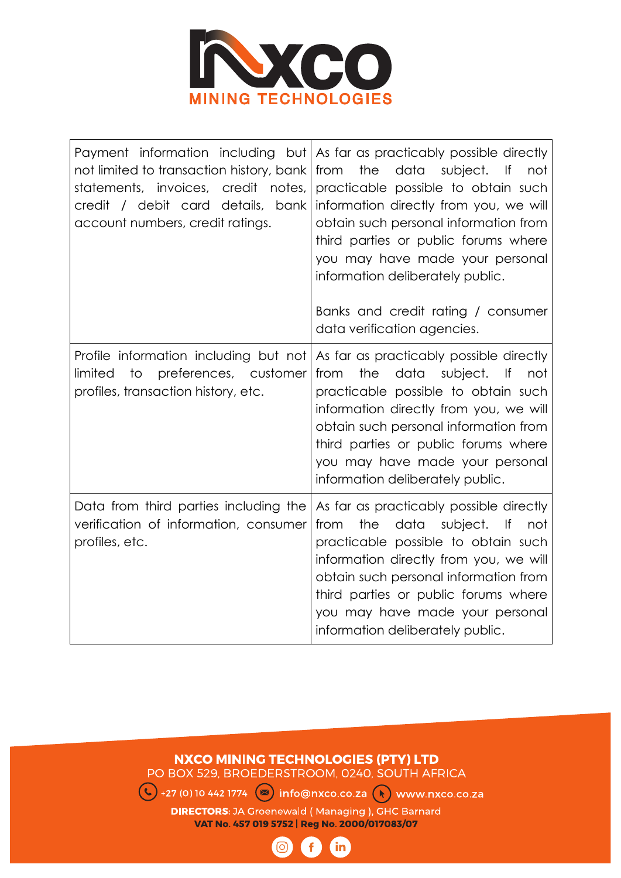

| not limited to transaction history, bank<br>statements, invoices, credit notes,<br>credit / debit card details, bank<br>account numbers, credit ratings. | Payment information including but As far as practicably possible directly<br>the<br>from<br>data<br>subject.<br>— ∣f<br>not<br>practicable possible to obtain such<br>information directly from you, we will<br>obtain such personal information from<br>third parties or public forums where<br>you may have made your personal<br>information deliberately public.<br>Banks and credit rating / consumer<br>data verification agencies. |
|----------------------------------------------------------------------------------------------------------------------------------------------------------|-------------------------------------------------------------------------------------------------------------------------------------------------------------------------------------------------------------------------------------------------------------------------------------------------------------------------------------------------------------------------------------------------------------------------------------------|
| Profile information including but not<br>limited<br>to<br>preferences, customer<br>profiles, transaction history, etc.                                   | As far as practicably possible directly<br>the<br>data<br>subject. If<br>from<br>not<br>practicable possible to obtain such<br>information directly from you, we will<br>obtain such personal information from<br>third parties or public forums where<br>you may have made your personal<br>information deliberately public.                                                                                                             |
| Data from third parties including the<br>verification of information, consumer<br>profiles, etc.                                                         | As far as practicably possible directly<br>the<br>data<br>subject.<br>from<br>  f  <br>not<br>practicable possible to obtain such<br>information directly from you, we will<br>obtain such personal information from<br>third parties or public forums where<br>you may have made your personal<br>information deliberately public.                                                                                                       |

#### **NXCO MINING TECHNOLOGIES (PTY) LTD** PO BOX 529, BROEDERSTROOM, 0240, SOUTH AFRICA

◯ +27 (0) 10 442 1774 <br>  $\bullet$  info@nxco.co.za  $\bullet$  www.nxco.co.za **DIRECTORS:** JA Groenewald (Managing), GHC Barnard VAT No. 457 019 5752 | Reg No. 2000/017083/07

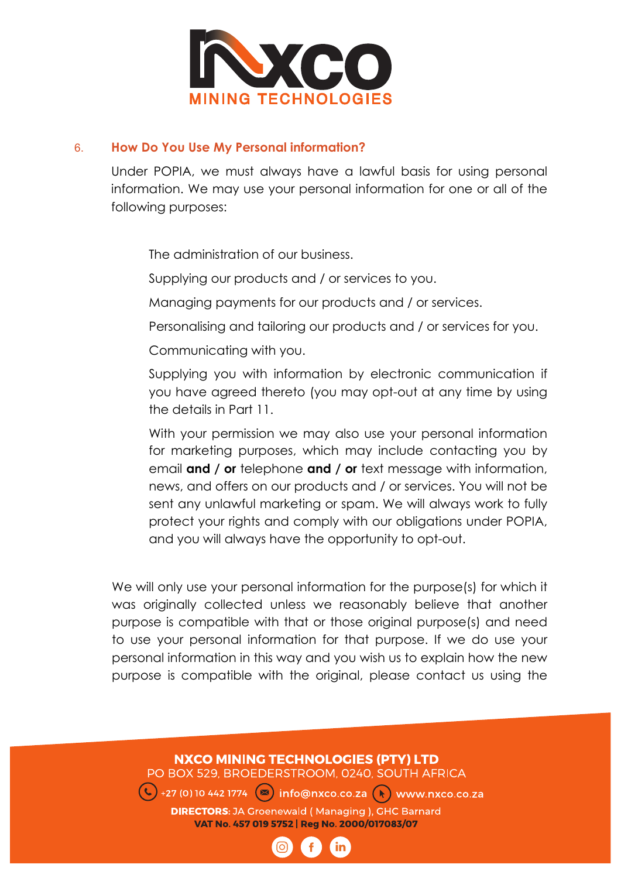

#### 6. **How Do You Use My Personal information?**

Under POPIA, we must always have a lawful basis for using personal information. We may use your personal information for one or all of the following purposes:

The administration of our business.

Supplying our products and / or services to you.

Managing payments for our products and / or services.

Personalising and tailoring our products and / or services for you.

Communicating with you.

 Supplying you with information by electronic communication if you have agreed thereto (you may opt-out at any time by using the details in Part 11.

 With your permission we may also use your personal information for marketing purposes, which may include contacting you by email **and / or** telephone **and / or** text message with information, news, and offers on our products and / or services. You will not be sent any unlawful marketing or spam. We will always work to fully protect your rights and comply with our obligations under POPIA, and you will always have the opportunity to opt-out.

We will only use your personal information for the purpose(s) for which it was originally collected unless we reasonably believe that another purpose is compatible with that or those original purpose(s) and need to use your personal information for that purpose. If we do use your personal information in this way and you wish us to explain how the new purpose is compatible with the original, please contact us using the

# **NXCO MINING TECHNOLOGIES (PTY) LTD**

PO BOX 529, BROEDERSTROOM, 0240, SOUTH AFRICA

 $\left(\frac{1}{2}\right)$ +27 (0)10 442 1774  $\left(\infty\right)$  info@nxco.co.za  $\left(\frac{1}{2}\right)$  www.nxco.co.za

**DIRECTORS:** JA Groenewald (Managing), GHC Barnard VAT No. 457 019 5752 | Reg No. 2000/017083/07

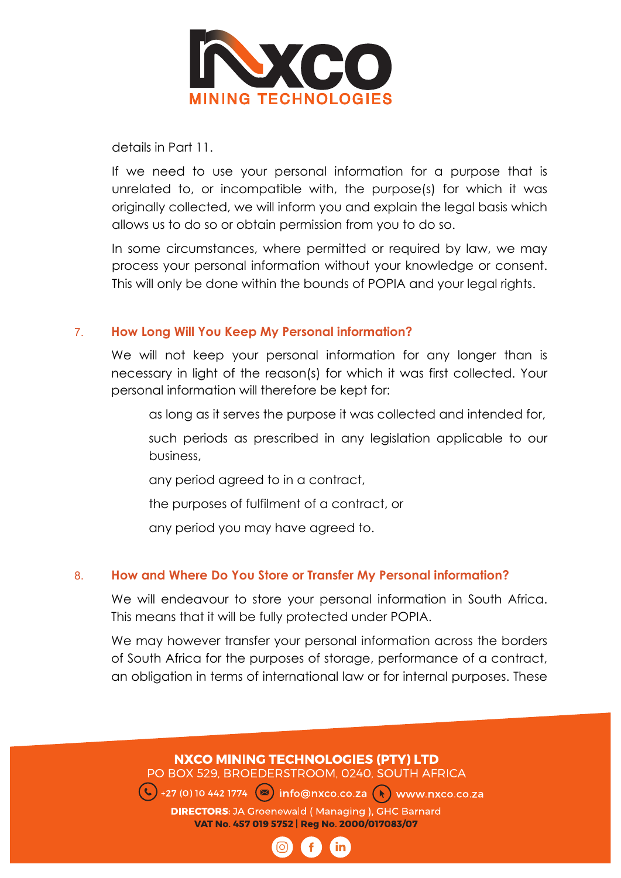

details in Part 11.

If we need to use your personal information for a purpose that is unrelated to, or incompatible with, the purpose(s) for which it was originally collected, we will inform you and explain the legal basis which allows us to do so or obtain permission from you to do so.

In some circumstances, where permitted or required by law, we may process your personal information without your knowledge or consent. This will only be done within the bounds of POPIA and your legal rights.

#### 7. **How Long Will You Keep My Personal information?**

We will not keep your personal information for any longer than is necessary in light of the reason(s) for which it was first collected. Your personal information will therefore be kept for:

as long as it serves the purpose it was collected and intended for,

 such periods as prescribed in any legislation applicable to our business,

any period agreed to in a contract,

the purposes of fulfilment of a contract, or

any period you may have agreed to.

#### 8. **How and Where Do You Store or Transfer My Personal information?**

We will endeavour to store your personal information in South Africa. This means that it will be fully protected under POPIA.

We may however transfer your personal information across the borders of South Africa for the purposes of storage, performance of a contract, an obligation in terms of international law or for internal purposes. These

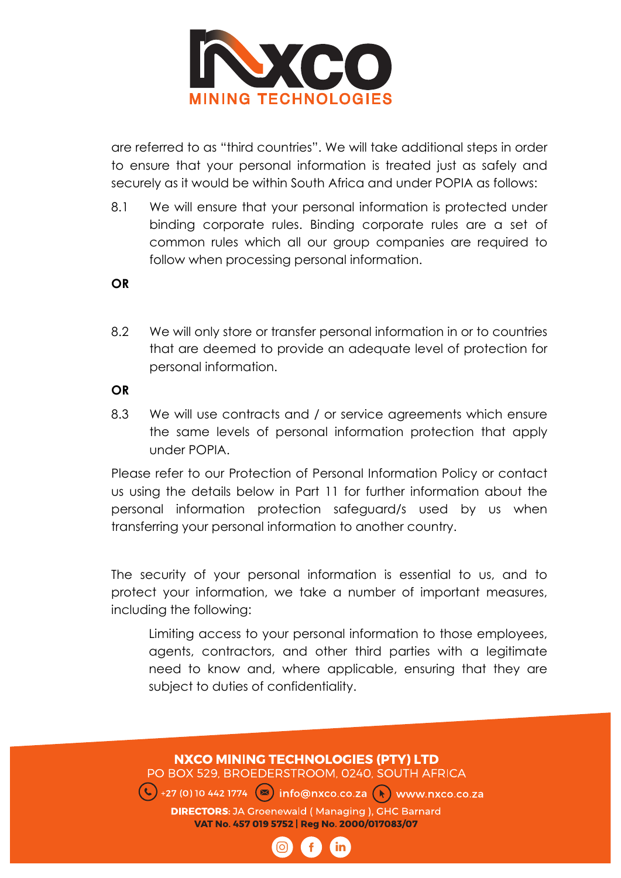

are referred to as "third countries". We will take additional steps in order to ensure that your personal information is treated just as safely and securely as it would be within South Africa and under POPIA as follows:

8.1 We will ensure that your personal information is protected under binding corporate rules. Binding corporate rules are a set of common rules which all our group companies are required to follow when processing personal information.

**OR**

8.2 We will only store or transfer personal information in or to countries that are deemed to provide an adequate level of protection for personal information.

**OR**

8.3 We will use contracts and / or service agreements which ensure the same levels of personal information protection that apply under POPIA.

Please refer to our Protection of Personal Information Policy or contact us using the details below in Part 11 for further information about the personal information protection safeguard/s used by us when transferring your personal information to another country.

The security of your personal information is essential to us, and to protect your information, we take a number of important measures, including the following:

 Limiting access to your personal information to those employees, agents, contractors, and other third parties with a legitimate need to know and, where applicable, ensuring that they are subject to duties of confidentiality.

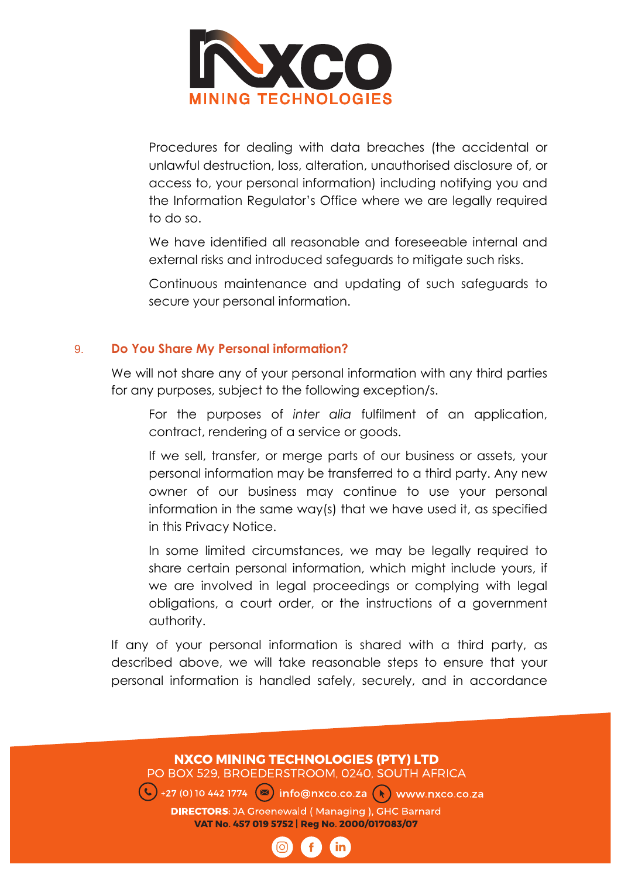

 Procedures for dealing with data breaches (the accidental or unlawful destruction, loss, alteration, unauthorised disclosure of, or access to, your personal information) including notifying you and the Information Regulator's Office where we are legally required to do so.

 We have identified all reasonable and foreseeable internal and external risks and introduced safeguards to mitigate such risks.

 Continuous maintenance and updating of such safeguards to secure your personal information.

#### 9. **Do You Share My Personal information?**

We will not share any of your personal information with any third parties for any purposes, subject to the following exception/s.

 For the purposes of *inter alia* fulfilment of an application, contract, rendering of a service or goods.

 If we sell, transfer, or merge parts of our business or assets, your personal information may be transferred to a third party. Any new owner of our business may continue to use your personal information in the same way(s) that we have used it, as specified in this Privacy Notice.

 In some limited circumstances, we may be legally required to share certain personal information, which might include yours, if we are involved in legal proceedings or complying with legal obligations, a court order, or the instructions of a government authority.

If any of your personal information is shared with a third party, as described above, we will take reasonable steps to ensure that your personal information is handled safely, securely, and in accordance

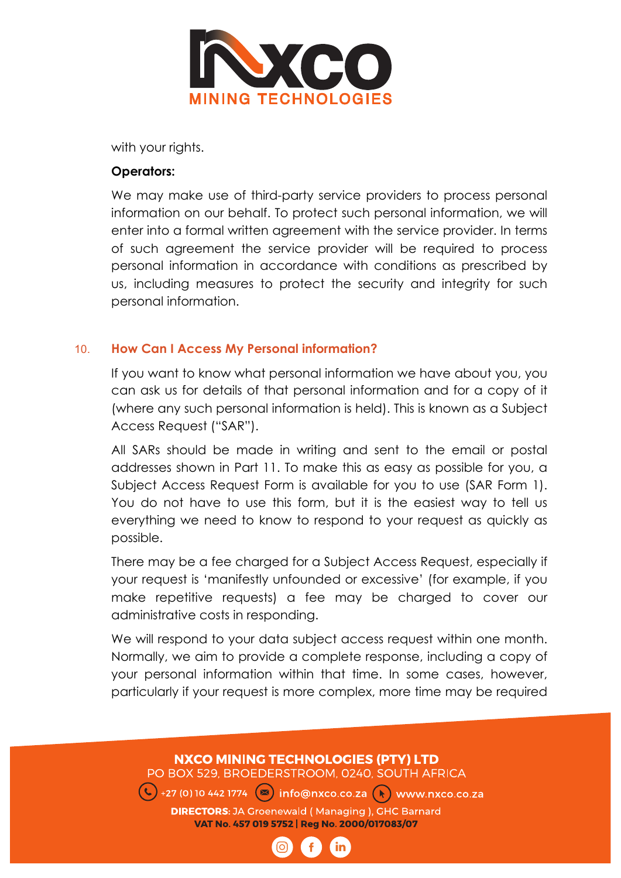

with your rights.

#### **Operators:**

We may make use of third-party service providers to process personal information on our behalf. To protect such personal information, we will enter into a formal written agreement with the service provider. In terms of such agreement the service provider will be required to process personal information in accordance with conditions as prescribed by us, including measures to protect the security and integrity for such personal information.

#### 10. **How Can I Access My Personal information?**

If you want to know what personal information we have about you, you can ask us for details of that personal information and for a copy of it (where any such personal information is held). This is known as a Subject Access Request ("SAR").

All SARs should be made in writing and sent to the email or postal addresses shown in Part 11. To make this as easy as possible for you, a Subject Access Request Form is available for you to use (SAR Form 1). You do not have to use this form, but it is the easiest way to tell us everything we need to know to respond to your request as quickly as possible.

There may be a fee charged for a Subject Access Request, especially if your request is 'manifestly unfounded or excessive' (for example, if you make repetitive requests) a fee may be charged to cover our administrative costs in responding.

We will respond to your data subject access request within one month. Normally, we aim to provide a complete response, including a copy of your personal information within that time. In some cases, however, particularly if your request is more complex, more time may be required